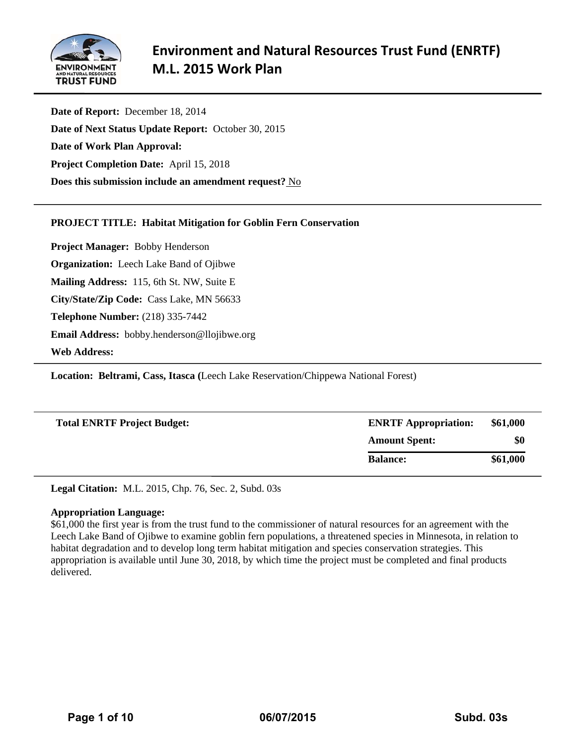

**Date of Report:** December 18, 2014 **Date of Next Status Update Report:** October 30, 2015 **Date of Work Plan Approval: Project Completion Date:** April 15, 2018 **Does this submission include an amendment request?** No

## **PROJECT TITLE: Habitat Mitigation for Goblin Fern Conservation**

**Project Manager:** Bobby Henderson **Organization:** Leech Lake Band of Ojibwe **Mailing Address:** 115, 6th St. NW, Suite E **City/State/Zip Code:** Cass Lake, MN 56633 **Telephone Number:** (218) 335-7442 **Email Address:** bobby.henderson@llojibwe.org **Web Address:** 

**Location: Beltrami, Cass, Itasca (**Leech Lake Reservation/Chippewa National Forest)

| <b>Total ENRTF Project Budget:</b> | <b>ENRTF Appropriation:</b> | \$61,000 |
|------------------------------------|-----------------------------|----------|
|                                    | <b>Amount Spent:</b>        | \$0      |
|                                    | <b>Balance:</b>             | \$61,000 |

**Legal Citation:** M.L. 2015, Chp. 76, Sec. 2, Subd. 03s

## **Appropriation Language:**

\$61,000 the first year is from the trust fund to the commissioner of natural resources for an agreement with the Leech Lake Band of Ojibwe to examine goblin fern populations, a threatened species in Minnesota, in relation to habitat degradation and to develop long term habitat mitigation and species conservation strategies. This appropriation is available until June 30, 2018, by which time the project must be completed and final products delivered.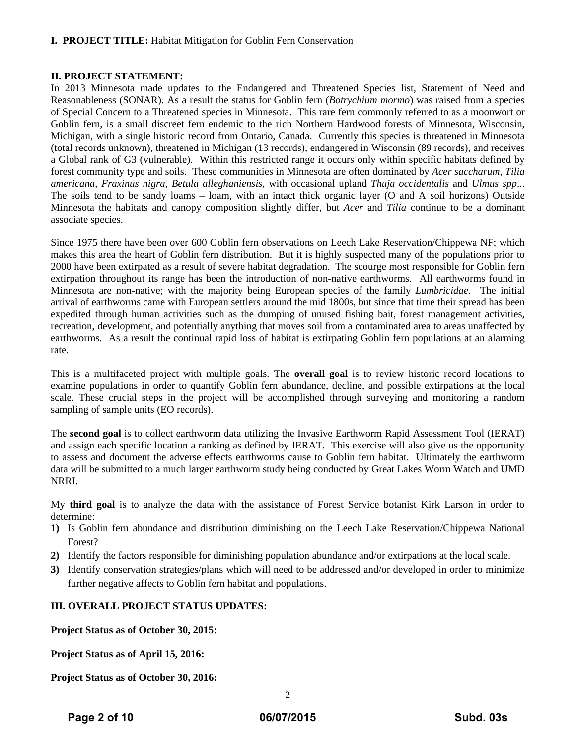## **I. PROJECT TITLE:** Habitat Mitigation for Goblin Fern Conservation

## **II. PROJECT STATEMENT:**

In 2013 Minnesota made updates to the Endangered and Threatened Species list, Statement of Need and Reasonableness (SONAR). As a result the status for Goblin fern (*Botrychium mormo*) was raised from a species of Special Concern to a Threatened species in Minnesota. This rare fern commonly referred to as a moonwort or Goblin fern, is a small discreet fern endemic to the rich Northern Hardwood forests of Minnesota, Wisconsin, Michigan, with a single historic record from Ontario, Canada. Currently this species is threatened in Minnesota (total records unknown), threatened in Michigan (13 records), endangered in Wisconsin (89 records), and receives a Global rank of G3 (vulnerable). Within this restricted range it occurs only within specific habitats defined by forest community type and soils. These communities in Minnesota are often dominated by *Acer saccharum, Tilia americana, Fraxinus nigra, Betula alleghaniensis,* with occasional upland *Thuja occidentalis* and *Ulmus spp*... The soils tend to be sandy loams – loam, with an intact thick organic layer (O and A soil horizons) Outside Minnesota the habitats and canopy composition slightly differ, but *Acer* and *Tilia* continue to be a dominant associate species.

Since 1975 there have been over 600 Goblin fern observations on Leech Lake Reservation/Chippewa NF; which makes this area the heart of Goblin fern distribution. But it is highly suspected many of the populations prior to 2000 have been extirpated as a result of severe habitat degradation. The scourge most responsible for Goblin fern extirpation throughout its range has been the introduction of non-native earthworms. All earthworms found in Minnesota are non-native; with the majority being European species of the family *Lumbricidae.* The initial arrival of earthworms came with European settlers around the mid 1800s, but since that time their spread has been expedited through human activities such as the dumping of unused fishing bait, forest management activities, recreation, development, and potentially anything that moves soil from a contaminated area to areas unaffected by earthworms. As a result the continual rapid loss of habitat is extirpating Goblin fern populations at an alarming rate.

This is a multifaceted project with multiple goals. The **overall goal** is to review historic record locations to examine populations in order to quantify Goblin fern abundance, decline, and possible extirpations at the local scale. These crucial steps in the project will be accomplished through surveying and monitoring a random sampling of sample units (EO records).

The **second goal** is to collect earthworm data utilizing the Invasive Earthworm Rapid Assessment Tool (IERAT) and assign each specific location a ranking as defined by IERAT. This exercise will also give us the opportunity to assess and document the adverse effects earthworms cause to Goblin fern habitat. Ultimately the earthworm data will be submitted to a much larger earthworm study being conducted by Great Lakes Worm Watch and UMD NRRI.

My **third goal** is to analyze the data with the assistance of Forest Service botanist Kirk Larson in order to determine:

- **1)** Is Goblin fern abundance and distribution diminishing on the Leech Lake Reservation/Chippewa National Forest?
- **2)** Identify the factors responsible for diminishing population abundance and/or extirpations at the local scale.
- **3)** Identify conservation strategies/plans which will need to be addressed and/or developed in order to minimize further negative affects to Goblin fern habitat and populations.

## **III. OVERALL PROJECT STATUS UPDATES:**

**Project Status as of October 30, 2015:** 

**Project Status as of April 15, 2016:** 

**Project Status as of October 30, 2016:**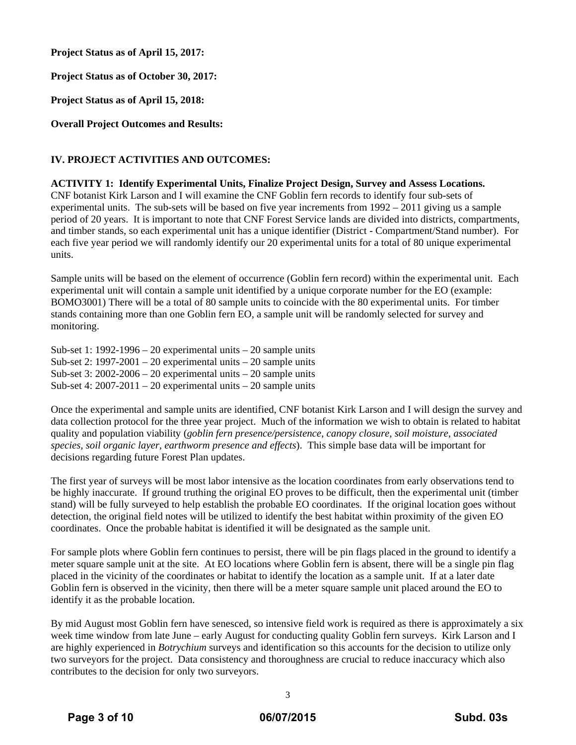**Project Status as of April 15, 2017:** 

**Project Status as of October 30, 2017:** 

**Project Status as of April 15, 2018:** 

**Overall Project Outcomes and Results:** 

## **IV. PROJECT ACTIVITIES AND OUTCOMES:**

**ACTIVITY 1: Identify Experimental Units, Finalize Project Design, Survey and Assess Locations.**  CNF botanist Kirk Larson and I will examine the CNF Goblin fern records to identify four sub-sets of experimental units. The sub-sets will be based on five year increments from 1992 – 2011 giving us a sample period of 20 years. It is important to note that CNF Forest Service lands are divided into districts, compartments, and timber stands, so each experimental unit has a unique identifier (District - Compartment/Stand number). For each five year period we will randomly identify our 20 experimental units for a total of 80 unique experimental units.

Sample units will be based on the element of occurrence (Goblin fern record) within the experimental unit. Each experimental unit will contain a sample unit identified by a unique corporate number for the EO (example: BOMO3001) There will be a total of 80 sample units to coincide with the 80 experimental units. For timber stands containing more than one Goblin fern EO, a sample unit will be randomly selected for survey and monitoring.

Sub-set 1: 1992-1996 – 20 experimental units – 20 sample units Sub-set 2:  $1997-2001 - 20$  experimental units  $-20$  sample units Sub-set 3:  $2002-2006 - 20$  experimental units  $-20$  sample units Sub-set 4:  $2007-2011-20$  experimental units  $-20$  sample units

Once the experimental and sample units are identified, CNF botanist Kirk Larson and I will design the survey and data collection protocol for the three year project. Much of the information we wish to obtain is related to habitat quality and population viability (*goblin fern presence/persistence, canopy closure, soil moisture, associated species, soil organic layer, earthworm presence and effects*). This simple base data will be important for decisions regarding future Forest Plan updates.

The first year of surveys will be most labor intensive as the location coordinates from early observations tend to be highly inaccurate. If ground truthing the original EO proves to be difficult, then the experimental unit (timber stand) will be fully surveyed to help establish the probable EO coordinates. If the original location goes without detection, the original field notes will be utilized to identify the best habitat within proximity of the given EO coordinates. Once the probable habitat is identified it will be designated as the sample unit.

For sample plots where Goblin fern continues to persist, there will be pin flags placed in the ground to identify a meter square sample unit at the site. At EO locations where Goblin fern is absent, there will be a single pin flag placed in the vicinity of the coordinates or habitat to identify the location as a sample unit. If at a later date Goblin fern is observed in the vicinity, then there will be a meter square sample unit placed around the EO to identify it as the probable location.

By mid August most Goblin fern have senesced, so intensive field work is required as there is approximately a six week time window from late June – early August for conducting quality Goblin fern surveys. Kirk Larson and I are highly experienced in *Botrychium* surveys and identification so this accounts for the decision to utilize only two surveyors for the project. Data consistency and thoroughness are crucial to reduce inaccuracy which also contributes to the decision for only two surveyors.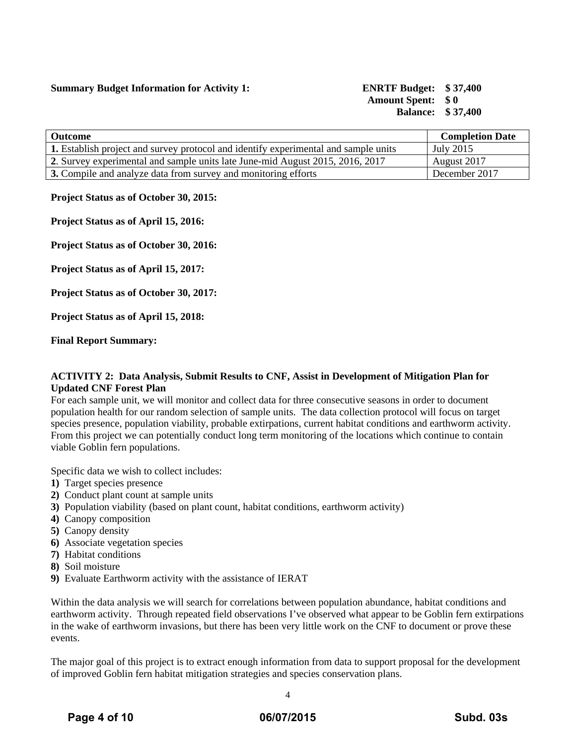## **Summary Budget Information for Activity 1: ENRTF Budget: \$ 37,400**

# **Amount Spent: \$ 0 Balance: \$ 37,400**

| <b>Outcome</b>                                                                             | <b>Completion Date</b> |
|--------------------------------------------------------------------------------------------|------------------------|
| <b>1.</b> Establish project and survey protocol and identify experimental and sample units | July 2015              |
| 2. Survey experimental and sample units late June-mid August 2015, 2016, 2017              | August 2017            |
| 3. Compile and analyze data from survey and monitoring efforts                             | December 2017          |

## **Project Status as of October 30, 2015:**

**Project Status as of April 15, 2016:** 

**Project Status as of October 30, 2016:**

**Project Status as of April 15, 2017:** 

**Project Status as of October 30, 2017:** 

**Project Status as of April 15, 2018:** 

**Final Report Summary:**

## **ACTIVITY 2: Data Analysis, Submit Results to CNF, Assist in Development of Mitigation Plan for Updated CNF Forest Plan**

For each sample unit, we will monitor and collect data for three consecutive seasons in order to document population health for our random selection of sample units. The data collection protocol will focus on target species presence, population viability, probable extirpations, current habitat conditions and earthworm activity. From this project we can potentially conduct long term monitoring of the locations which continue to contain viable Goblin fern populations.

Specific data we wish to collect includes:

- **1)** Target species presence
- **2)** Conduct plant count at sample units
- **3)** Population viability (based on plant count, habitat conditions, earthworm activity)
- **4)** Canopy composition
- **5)** Canopy density
- **6)** Associate vegetation species
- **7)** Habitat conditions
- **8)** Soil moisture
- **9)** Evaluate Earthworm activity with the assistance of IERAT

Within the data analysis we will search for correlations between population abundance, habitat conditions and earthworm activity. Through repeated field observations I've observed what appear to be Goblin fern extirpations in the wake of earthworm invasions, but there has been very little work on the CNF to document or prove these events.

The major goal of this project is to extract enough information from data to support proposal for the development of improved Goblin fern habitat mitigation strategies and species conservation plans.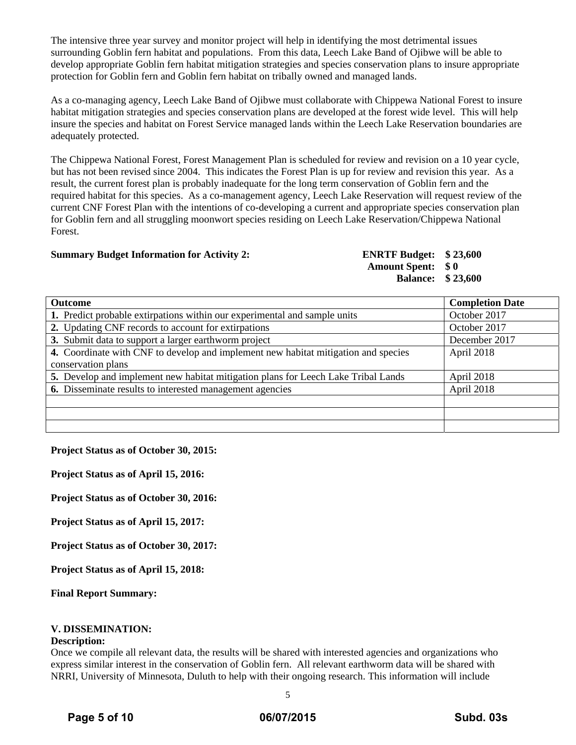The intensive three year survey and monitor project will help in identifying the most detrimental issues surrounding Goblin fern habitat and populations. From this data, Leech Lake Band of Ojibwe will be able to develop appropriate Goblin fern habitat mitigation strategies and species conservation plans to insure appropriate protection for Goblin fern and Goblin fern habitat on tribally owned and managed lands.

As a co-managing agency, Leech Lake Band of Ojibwe must collaborate with Chippewa National Forest to insure habitat mitigation strategies and species conservation plans are developed at the forest wide level. This will help insure the species and habitat on Forest Service managed lands within the Leech Lake Reservation boundaries are adequately protected.

The Chippewa National Forest, Forest Management Plan is scheduled for review and revision on a 10 year cycle, but has not been revised since 2004. This indicates the Forest Plan is up for review and revision this year. As a result, the current forest plan is probably inadequate for the long term conservation of Goblin fern and the required habitat for this species. As a co-management agency, Leech Lake Reservation will request review of the current CNF Forest Plan with the intentions of co-developing a current and appropriate species conservation plan for Goblin fern and all struggling moonwort species residing on Leech Lake Reservation/Chippewa National Forest.

#### **Summary Budget Information for Activity 2: ENRTF Budget: \$ 23,600**

**Amount Spent: \$ 0 Balance: \$ 23,600** 

| <b>Outcome</b>                                                                     | <b>Completion Date</b> |
|------------------------------------------------------------------------------------|------------------------|
| 1. Predict probable extirpations within our experimental and sample units          | October 2017           |
| 2. Updating CNF records to account for extirpations                                | October 2017           |
| 3. Submit data to support a larger earthworm project                               | December 2017          |
| 4. Coordinate with CNF to develop and implement new habitat mitigation and species | April 2018             |
| conservation plans                                                                 |                        |
| 5. Develop and implement new habitat mitigation plans for Leech Lake Tribal Lands  | April 2018             |
| <b>6.</b> Disseminate results to interested management agencies                    | April 2018             |
|                                                                                    |                        |
|                                                                                    |                        |
|                                                                                    |                        |

**Project Status as of October 30, 2015:** 

**Project Status as of April 15, 2016:** 

**Project Status as of October 30, 2016:**

**Project Status as of April 15, 2017:** 

**Project Status as of October 30, 2017:** 

**Project Status as of April 15, 2018:** 

**Final Report Summary:**

## **V. DISSEMINATION:**

#### **Description:**

Once we compile all relevant data, the results will be shared with interested agencies and organizations who express similar interest in the conservation of Goblin fern. All relevant earthworm data will be shared with NRRI, University of Minnesota, Duluth to help with their ongoing research. This information will include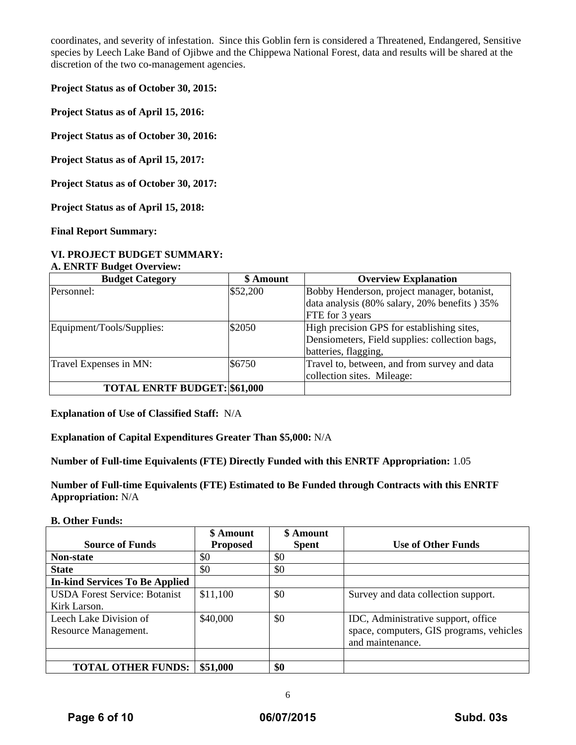coordinates, and severity of infestation. Since this Goblin fern is considered a Threatened, Endangered, Sensitive species by Leech Lake Band of Ojibwe and the Chippewa National Forest, data and results will be shared at the discretion of the two co-management agencies.

**Project Status as of October 30, 2015:** 

**Project Status as of April 15, 2016:** 

**Project Status as of October 30, 2016:**

**Project Status as of April 15, 2017:** 

**Project Status as of October 30, 2017:** 

**Project Status as of April 15, 2018:** 

**Final Report Summary:** 

## **VI. PROJECT BUDGET SUMMARY:** **A. ENRTF Budget Overview:**

| <b>Budget Category</b>              | \$ Amount | <b>Overview Explanation</b>                    |
|-------------------------------------|-----------|------------------------------------------------|
| Personnel:                          | \$52,200  | Bobby Henderson, project manager, botanist,    |
|                                     |           | data analysis (80% salary, 20% benefits) 35%   |
|                                     |           | FTE for 3 years                                |
| Equipment/Tools/Supplies:           | \$2050    | High precision GPS for establishing sites,     |
|                                     |           | Densiometers, Field supplies: collection bags, |
|                                     |           | batteries, flagging,                           |
| Travel Expenses in MN:              | \$6750    | Travel to, between, and from survey and data   |
|                                     |           | collection sites. Mileage:                     |
| <b>TOTAL ENRTF BUDGET: \$61,000</b> |           |                                                |

**Explanation of Use of Classified Staff:** N/A

**Explanation of Capital Expenditures Greater Than \$5,000:** N/A

**Number of Full-time Equivalents (FTE) Directly Funded with this ENRTF Appropriation:** 1.05

**Number of Full-time Equivalents (FTE) Estimated to Be Funded through Contracts with this ENRTF Appropriation:** N/A

**B. Other Funds:** 

|                                       | \$ Amount       | \$ Amount    |                                          |
|---------------------------------------|-----------------|--------------|------------------------------------------|
| <b>Source of Funds</b>                | <b>Proposed</b> | <b>Spent</b> | <b>Use of Other Funds</b>                |
| <b>Non-state</b>                      | \$0             | \$0          |                                          |
| <b>State</b>                          | \$0             | \$0          |                                          |
| <b>In-kind Services To Be Applied</b> |                 |              |                                          |
| <b>USDA Forest Service: Botanist</b>  | \$11,100        | \$0          | Survey and data collection support.      |
| Kirk Larson.                          |                 |              |                                          |
| Leech Lake Division of                | \$40,000        | \$0          | IDC, Administrative support, office      |
| Resource Management.                  |                 |              | space, computers, GIS programs, vehicles |
|                                       |                 |              | and maintenance.                         |
|                                       |                 |              |                                          |
| <b>TOTAL OTHER FUNDS:</b>             | \$51,000        | \$0          |                                          |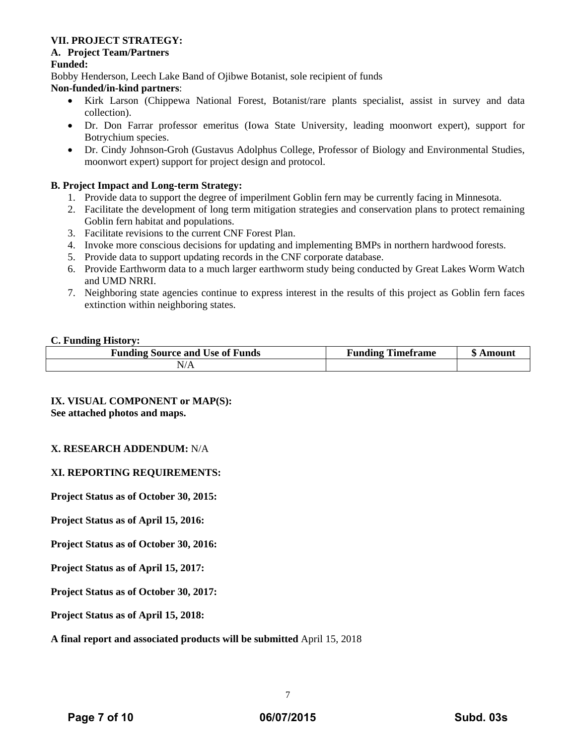## **VII. PROJECT STRATEGY:**

## **A. Project Team/Partners**

## **Funded:**

Bobby Henderson, Leech Lake Band of Ojibwe Botanist, sole recipient of funds

## **Non-funded/in-kind partners**:

- Kirk Larson (Chippewa National Forest, Botanist/rare plants specialist, assist in survey and data collection).
- Dr. Don Farrar professor emeritus (Iowa State University, leading moonwort expert), support for Botrychium species.
- Dr. Cindy Johnson-Groh (Gustavus Adolphus College, Professor of Biology and Environmental Studies, moonwort expert) support for project design and protocol.

## **B. Project Impact and Long-term Strategy:**

- 1. Provide data to support the degree of imperilment Goblin fern may be currently facing in Minnesota.
- 2. Facilitate the development of long term mitigation strategies and conservation plans to protect remaining Goblin fern habitat and populations.
- 3. Facilitate revisions to the current CNF Forest Plan.
- 4. Invoke more conscious decisions for updating and implementing BMPs in northern hardwood forests.
- 5. Provide data to support updating records in the CNF corporate database.
- 6. Provide Earthworm data to a much larger earthworm study being conducted by Great Lakes Worm Watch and UMD NRRI.
- 7. Neighboring state agencies continue to express interest in the results of this project as Goblin fern faces extinction within neighboring states.

## **C. Funding History:**

| <b>Funding Source and Use of Funds</b> | Timeframe<br>Funding | m<br>Amount<br>w |
|----------------------------------------|----------------------|------------------|
| N/A                                    |                      |                  |

## **IX. VISUAL COMPONENT or MAP(S): See attached photos and maps.**

## **X. RESEARCH ADDENDUM:** N/A

## **XI. REPORTING REQUIREMENTS:**

**Project Status as of October 30, 2015:** 

**Project Status as of April 15, 2016:** 

**Project Status as of October 30, 2016:**

**Project Status as of April 15, 2017:** 

**Project Status as of October 30, 2017:** 

**Project Status as of April 15, 2018:** 

## **A final report and associated products will be submitted** April 15, 2018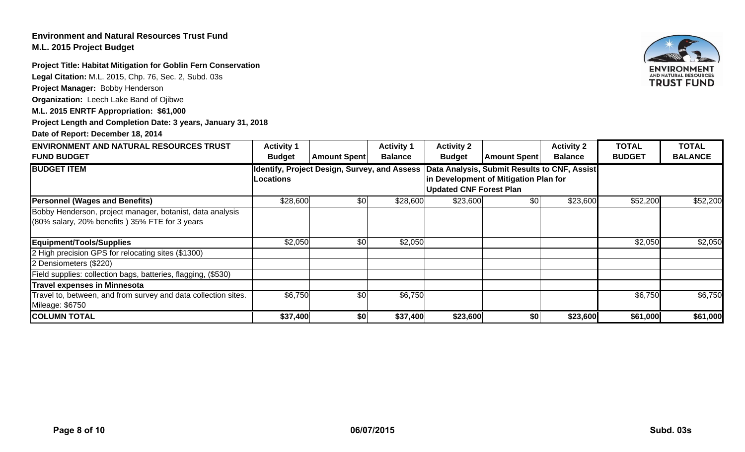## **Environment and Natural Resources Trust Fund M.L. 2015 Project Budget**

**Project Title: Habitat Mitigation for Goblin Fern Conservation** 

**Legal Citation:** M.L. 2015, Chp. 76, Sec. 2, Subd. 03s

**Project Manager:** Bobby Henderson

**Organization:** Leech Lake Band of Ojibwe

## **M.L. 2015 ENRTF Appropriation: \$61,000**

**Project Length and Completion Date: 3 years, January 31, 2018**

## **Date of Report: December 18, 2014**

| <b>ENVIRONMENT AND NATURAL RESOURCES TRUST</b>                 | <b>Activity 1</b> |                                                     | <b>Activity 1</b> | <b>Activity 2</b>                     |                                              | <b>Activity 2</b> | <b>TOTAL</b>  | <b>TOTAL</b>   |
|----------------------------------------------------------------|-------------------|-----------------------------------------------------|-------------------|---------------------------------------|----------------------------------------------|-------------------|---------------|----------------|
| <b>FUND BUDGET</b>                                             | <b>Budget</b>     | <b>Amount Spent</b>                                 | <b>Balance</b>    | <b>Budget</b>                         | <b>Amount Spent</b>                          | <b>Balance</b>    | <b>BUDGET</b> | <b>BALANCE</b> |
| <b>BUDGET ITEM</b>                                             |                   | <b>Identify, Project Design, Survey, and Assess</b> |                   |                                       | Data Analysis, Submit Results to CNF, Assist |                   |               |                |
|                                                                | <b>Locations</b>  |                                                     |                   | in Development of Mitigation Plan for |                                              |                   |               |                |
|                                                                |                   | <b>Updated CNF Forest Plan</b>                      |                   |                                       |                                              |                   |               |                |
| <b>Personnel (Wages and Benefits)</b>                          | \$28,600          | \$0                                                 | \$28,600          | \$23,600                              | \$0                                          | \$23,600          | \$52,200      | \$52,200       |
| Bobby Henderson, project manager, botanist, data analysis      |                   |                                                     |                   |                                       |                                              |                   |               |                |
| (80% salary, 20% benefits) 35% FTE for 3 years                 |                   |                                                     |                   |                                       |                                              |                   |               |                |
|                                                                |                   |                                                     |                   |                                       |                                              |                   |               |                |
| Equipment/Tools/Supplies                                       | \$2,050           | \$0                                                 | \$2,050           |                                       |                                              |                   | \$2,050       | \$2,050        |
| 2 High precision GPS for relocating sites (\$1300)             |                   |                                                     |                   |                                       |                                              |                   |               |                |
| 2 Densiometers (\$220)                                         |                   |                                                     |                   |                                       |                                              |                   |               |                |
| Field supplies: collection bags, batteries, flagging, (\$530)  |                   |                                                     |                   |                                       |                                              |                   |               |                |
| <b>Travel expenses in Minnesota</b>                            |                   |                                                     |                   |                                       |                                              |                   |               |                |
| Travel to, between, and from survey and data collection sites. | \$6,750           | \$0                                                 | \$6,750           |                                       |                                              |                   | \$6,750       | \$6,750        |
| Mileage: \$6750                                                |                   |                                                     |                   |                                       |                                              |                   |               |                |
| <b>COLUMN TOTAL</b>                                            | \$37,400          | \$0                                                 | \$37,400          | \$23,600                              | \$0                                          | \$23,600          | \$61,000      | \$61,000       |